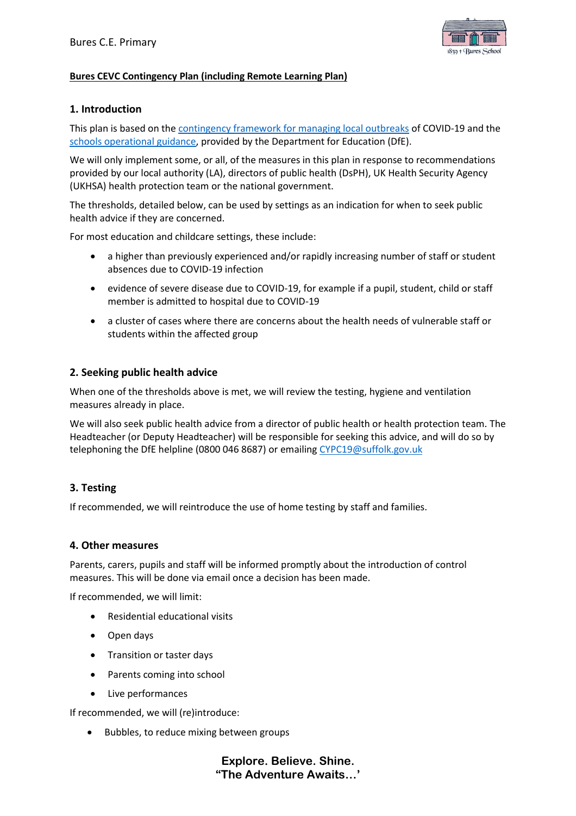

### **Bures CEVC Contingency Plan (including Remote Learning Plan)**

# **1. Introduction**

This plan is based on the [contingency framework for managing local outbreaks](https://www.gov.uk/government/publications/coronavirus-covid-19-local-restrictions-in-education-and-childcare-settings) of COVID-19 and the [schools operational guidance,](https://www.gov.uk/government/publications/actions-for-schools-during-the-coronavirus-outbreak) provided by the Department for Education (DfE).

We will only implement some, or all, of the measures in this plan in response to recommendations provided by our local authority (LA), directors of public health (DsPH), UK Health Security Agency (UKHSA) health protection team or the national government.

The thresholds, detailed below, can be used by settings as an indication for when to seek public health advice if they are concerned.

For most education and childcare settings, these include:

- a higher than previously experienced and/or rapidly increasing number of staff or student absences due to COVID-19 infection
- evidence of severe disease due to COVID-19, for example if a pupil, student, child or staff member is admitted to hospital due to COVID-19
- a cluster of cases where there are concerns about the health needs of vulnerable staff or students within the affected group

### **2. Seeking public health advice**

When one of the thresholds above is met, we will review the testing, hygiene and ventilation measures already in place.

We will also seek public health advice from a director of public health or health protection team. The Headteacher (or Deputy Headteacher) will be responsible for seeking this advice, and will do so by telephoning the DfE helpline (0800 046 8687) or emailing [CYPC19@suffolk.gov.uk](mailto:CYPC19@suffolk.gov.uk)

# **3. Testing**

If recommended, we will reintroduce the use of home testing by staff and families.

### **4. Other measures**

Parents, carers, pupils and staff will be informed promptly about the introduction of control measures. This will be done via email once a decision has been made.

If recommended, we will limit:

- Residential educational visits
- Open days
- Transition or taster days
- Parents coming into school
- Live performances

If recommended, we will (re)introduce:

• Bubbles, to reduce mixing between groups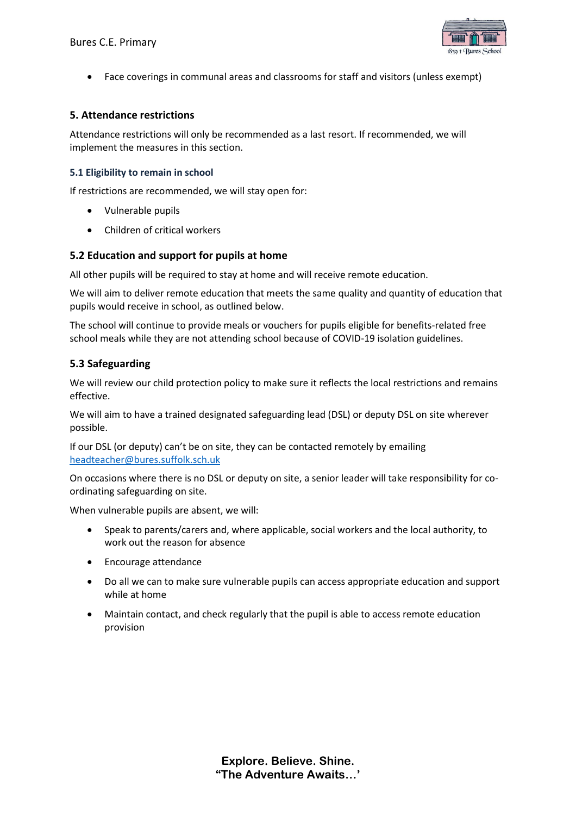

• Face coverings in communal areas and classrooms for staff and visitors (unless exempt)

### **5. Attendance restrictions**

Attendance restrictions will only be recommended as a last resort. If recommended, we will implement the measures in this section.

### **5.1 Eligibility to remain in school**

If restrictions are recommended, we will stay open for:

- Vulnerable pupils
- Children of critical workers

### **5.2 Education and support for pupils at home**

All other pupils will be required to stay at home and will receive remote education.

We will aim to deliver remote education that meets the same quality and quantity of education that pupils would receive in school, as outlined below.

The school will continue to provide meals or vouchers for pupils eligible for benefits-related free school meals while they are not attending school because of COVID-19 isolation guidelines.

# **5.3 Safeguarding**

We will review our child protection policy to make sure it reflects the local restrictions and remains effective.

We will aim to have a trained designated safeguarding lead (DSL) or deputy DSL on site wherever possible.

If our DSL (or deputy) can't be on site, they can be contacted remotely by emailing [headteacher@bures.suffolk.sch.uk](mailto:headteacher@bures.suffolk.sch.uk)

On occasions where there is no DSL or deputy on site, a senior leader will take responsibility for coordinating safeguarding on site.

When vulnerable pupils are absent, we will:

- Speak to parents/carers and, where applicable, social workers and the local authority, to work out the reason for absence
- Encourage attendance
- Do all we can to make sure vulnerable pupils can access appropriate education and support while at home
- Maintain contact, and check regularly that the pupil is able to access remote education provision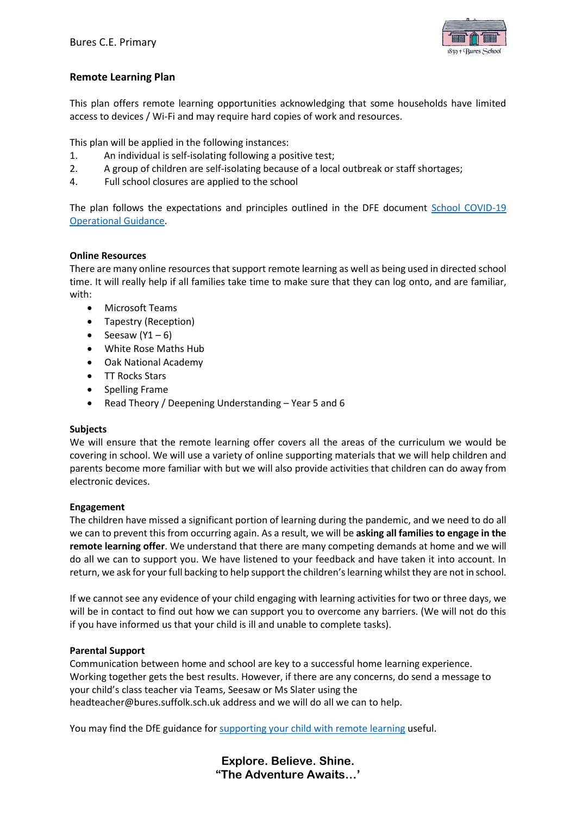

# **Remote Learning Plan**

This plan offers remote learning opportunities acknowledging that some households have limited access to devices / Wi-Fi and may require hard copies of work and resources.

This plan will be applied in the following instances:

- 1. An individual is self-isolating following a positive test;
- 2. A group of children are self-isolating because of a local outbreak or staff shortages;
- 4. Full school closures are applied to the school

The plan follows the expectations and principles outlined in the DFE document School COVID-19 [Operational](https://www.gov.uk/government/publications/actions-for-schools-during-the-coronavirus-outbreak) Guidance.

### **Online Resources**

There are many online resources that support remote learning as well as being used in directed school time. It will really help if all families take time to make sure that they can log onto, and are familiar, with:

- Microsoft Teams
- Tapestry (Reception)
- Seesaw  $(Y1 6)$
- White Rose Maths Hub
- Oak National Academy
- TT Rocks Stars
- Spelling Frame
- Read Theory / Deepening Understanding Year 5 and 6

### **Subjects**

We will ensure that the remote learning offer covers all the areas of the curriculum we would be covering in school. We will use a variety of online supporting materials that we will help children and parents become more familiar with but we will also provide activities that children can do away from electronic devices.

### **Engagement**

The children have missed a significant portion of learning during the pandemic, and we need to do all we can to prevent this from occurring again. As a result, we will be **asking all families to engage in the remote learning offer**. We understand that there are many competing demands at home and we will do all we can to support you. We have listened to your feedback and have taken it into account. In return, we ask for your full backing to help support the children's learning whilst they are not in school.

If we cannot see any evidence of your child engaging with learning activities for two or three days, we will be in contact to find out how we can support you to overcome any barriers. (We will not do this if you have informed us that your child is ill and unable to complete tasks).

### **Parental Support**

Communication between home and school are key to a successful home learning experience. Working together gets the best results. However, if there are any concerns, do send a message to your child's class teacher via Teams, Seesaw or Ms Slater using the headteacher@bures.suffolk.sch.uk address and we will do all we can to help.

You may find the DfE guidance fo[r supporting your child with remote learning](https://www.gov.uk/guidance/supporting-your-childrens-education-during-coronavirus-covid-19) useful.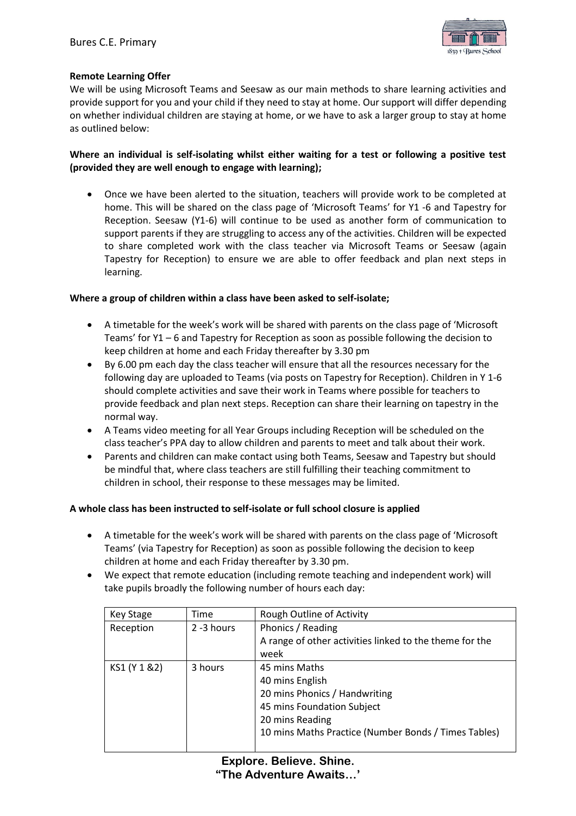

### **Remote Learning Offer**

We will be using Microsoft Teams and Seesaw as our main methods to share learning activities and provide support for you and your child if they need to stay at home. Our support will differ depending on whether individual children are staying at home, or we have to ask a larger group to stay at home as outlined below:

# **Where an individual is self-isolating whilst either waiting for a test or following a positive test (provided they are well enough to engage with learning);**

• Once we have been alerted to the situation, teachers will provide work to be completed at home. This will be shared on the class page of 'Microsoft Teams' for Y1 -6 and Tapestry for Reception. Seesaw (Y1-6) will continue to be used as another form of communication to support parents if they are struggling to access any of the activities. Children will be expected to share completed work with the class teacher via Microsoft Teams or Seesaw (again Tapestry for Reception) to ensure we are able to offer feedback and plan next steps in learning.

### **Where a group of children within a class have been asked to self-isolate;**

- A timetable for the week's work will be shared with parents on the class page of 'Microsoft Teams' for Y1 – 6 and Tapestry for Reception as soon as possible following the decision to keep children at home and each Friday thereafter by 3.30 pm
- By 6.00 pm each day the class teacher will ensure that all the resources necessary for the following day are uploaded to Teams (via posts on Tapestry for Reception). Children in Y 1-6 should complete activities and save their work in Teams where possible for teachers to provide feedback and plan next steps. Reception can share their learning on tapestry in the normal way.
- A Teams video meeting for all Year Groups including Reception will be scheduled on the class teacher's PPA day to allow children and parents to meet and talk about their work.
- Parents and children can make contact using both Teams, Seesaw and Tapestry but should be mindful that, where class teachers are still fulfilling their teaching commitment to children in school, their response to these messages may be limited.

### **A whole class has been instructed to self-isolate or full school closure is applied**

- A timetable for the week's work will be shared with parents on the class page of 'Microsoft Teams' (via Tapestry for Reception) as soon as possible following the decision to keep children at home and each Friday thereafter by 3.30 pm.
- We expect that remote education (including remote teaching and independent work) will take pupils broadly the following number of hours each day:

| Key Stage     | Time       | Rough Outline of Activity                               |
|---------------|------------|---------------------------------------------------------|
| Reception     | 2 -3 hours | Phonics / Reading                                       |
|               |            | A range of other activities linked to the theme for the |
|               |            | week                                                    |
| KS1 (Y 1 & 2) | 3 hours    | 45 mins Maths                                           |
|               |            | 40 mins English                                         |
|               |            | 20 mins Phonics / Handwriting                           |
|               |            | 45 mins Foundation Subject                              |
|               |            | 20 mins Reading                                         |
|               |            | 10 mins Maths Practice (Number Bonds / Times Tables)    |
|               |            |                                                         |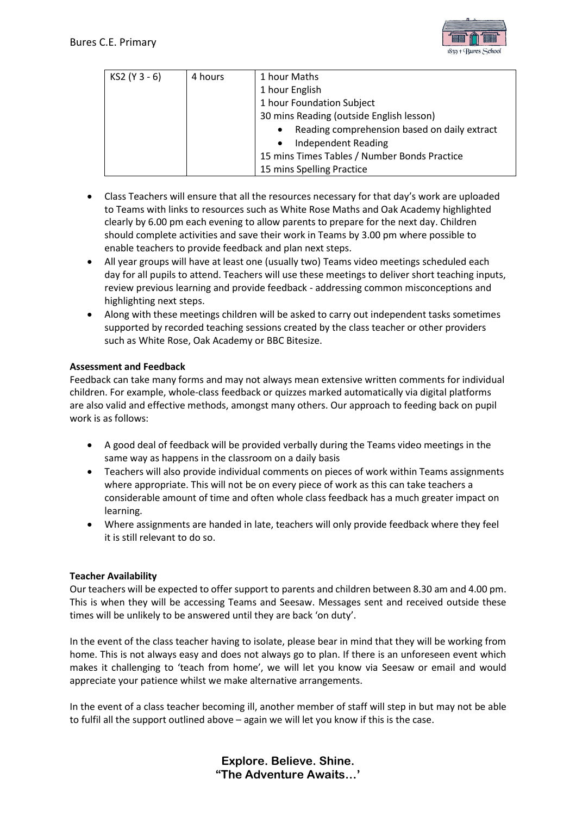

| KS2 (Y 3 - 6) | 4 hours | 1 hour Maths                                              |
|---------------|---------|-----------------------------------------------------------|
|               |         | 1 hour English                                            |
|               |         | 1 hour Foundation Subject                                 |
|               |         | 30 mins Reading (outside English lesson)                  |
|               |         | Reading comprehension based on daily extract<br>$\bullet$ |
|               |         | <b>Independent Reading</b><br>$\bullet$                   |
|               |         | 15 mins Times Tables / Number Bonds Practice              |
|               |         | 15 mins Spelling Practice                                 |

- Class Teachers will ensure that all the resources necessary for that day's work are uploaded to Teams with links to resources such as White Rose Maths and Oak Academy highlighted clearly by 6.00 pm each evening to allow parents to prepare for the next day. Children should complete activities and save their work in Teams by 3.00 pm where possible to enable teachers to provide feedback and plan next steps.
- All year groups will have at least one (usually two) Teams video meetings scheduled each day for all pupils to attend. Teachers will use these meetings to deliver short teaching inputs, review previous learning and provide feedback - addressing common misconceptions and highlighting next steps.
- Along with these meetings children will be asked to carry out independent tasks sometimes supported by recorded teaching sessions created by the class teacher or other providers such as White Rose, Oak Academy or BBC Bitesize.

# **Assessment and Feedback**

Feedback can take many forms and may not always mean extensive written comments for individual children. For example, whole-class feedback or quizzes marked automatically via digital platforms are also valid and effective methods, amongst many others. Our approach to feeding back on pupil work is as follows:

- A good deal of feedback will be provided verbally during the Teams video meetings in the same way as happens in the classroom on a daily basis
- Teachers will also provide individual comments on pieces of work within Teams assignments where appropriate. This will not be on every piece of work as this can take teachers a considerable amount of time and often whole class feedback has a much greater impact on learning.
- Where assignments are handed in late, teachers will only provide feedback where they feel it is still relevant to do so.

### **Teacher Availability**

Our teachers will be expected to offer support to parents and children between 8.30 am and 4.00 pm. This is when they will be accessing Teams and Seesaw. Messages sent and received outside these times will be unlikely to be answered until they are back 'on duty'.

In the event of the class teacher having to isolate, please bear in mind that they will be working from home. This is not always easy and does not always go to plan. If there is an unforeseen event which makes it challenging to 'teach from home', we will let you know via Seesaw or email and would appreciate your patience whilst we make alternative arrangements.

In the event of a class teacher becoming ill, another member of staff will step in but may not be able to fulfil all the support outlined above – again we will let you know if this is the case.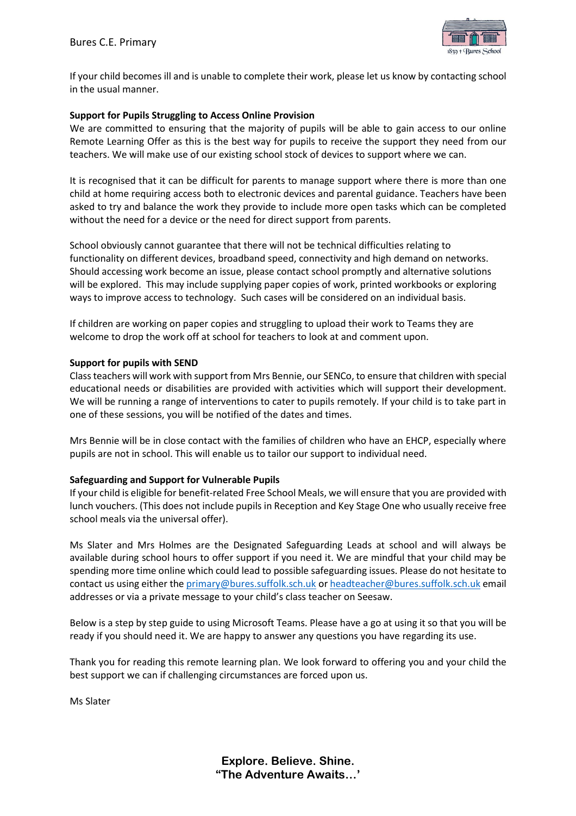

If your child becomes ill and is unable to complete their work, please let us know by contacting school in the usual manner.

### **Support for Pupils Struggling to Access Online Provision**

We are committed to ensuring that the majority of pupils will be able to gain access to our online Remote Learning Offer as this is the best way for pupils to receive the support they need from our teachers. We will make use of our existing school stock of devices to support where we can.

It is recognised that it can be difficult for parents to manage support where there is more than one child at home requiring access both to electronic devices and parental guidance. Teachers have been asked to try and balance the work they provide to include more open tasks which can be completed without the need for a device or the need for direct support from parents.

School obviously cannot guarantee that there will not be technical difficulties relating to functionality on different devices, broadband speed, connectivity and high demand on networks. Should accessing work become an issue, please contact school promptly and alternative solutions will be explored. This may include supplying paper copies of work, printed workbooks or exploring ways to improve access to technology. Such cases will be considered on an individual basis.

If children are working on paper copies and struggling to upload their work to Teams they are welcome to drop the work off at school for teachers to look at and comment upon.

### **Support for pupils with SEND**

Class teachers will work with support from Mrs Bennie, our SENCo, to ensure that children with special educational needs or disabilities are provided with activities which will support their development. We will be running a range of interventions to cater to pupils remotely. If your child is to take part in one of these sessions, you will be notified of the dates and times.

Mrs Bennie will be in close contact with the families of children who have an EHCP, especially where pupils are not in school. This will enable us to tailor our support to individual need.

### **Safeguarding and Support for Vulnerable Pupils**

If your child is eligible for benefit-related Free School Meals, we will ensure that you are provided with lunch vouchers. (This does not include pupils in Reception and Key Stage One who usually receive free school meals via the universal offer).

Ms Slater and Mrs Holmes are the Designated Safeguarding Leads at school and will always be available during school hours to offer support if you need it. We are mindful that your child may be spending more time online which could lead to possible safeguarding issues. Please do not hesitate to contact us using either th[e primary@bures.suffolk.sch.uk](mailto:primary@bures.suffolk.sch.uk) o[r headteacher@bures.suffolk.sch.uk](mailto:headteacher@bures.suffolk.sch.uk) email addresses or via a private message to your child's class teacher on Seesaw.

Below is a step by step guide to using Microsoft Teams. Please have a go at using it so that you will be ready if you should need it. We are happy to answer any questions you have regarding its use.

Thank you for reading this remote learning plan. We look forward to offering you and your child the best support we can if challenging circumstances are forced upon us.

Ms Slater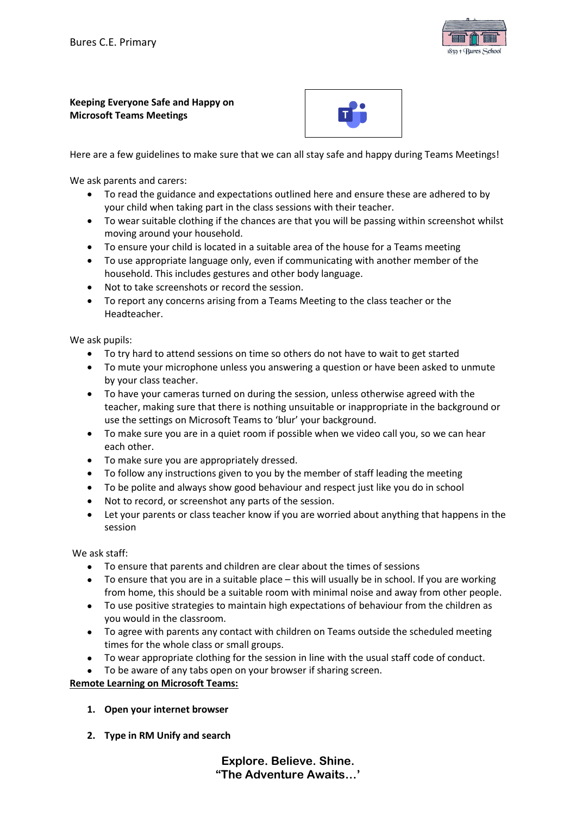

### **Keeping Everyone Safe and Happy on Microsoft Teams Meetings**



Here are a few guidelines to make sure that we can all stay safe and happy during Teams Meetings!

We ask parents and carers:

- To read the guidance and expectations outlined here and ensure these are adhered to by your child when taking part in the class sessions with their teacher.
- To wear suitable clothing if the chances are that you will be passing within screenshot whilst moving around your household.
- To ensure your child is located in a suitable area of the house for a Teams meeting
- To use appropriate language only, even if communicating with another member of the household. This includes gestures and other body language.
- Not to take screenshots or record the session.
- To report any concerns arising from a Teams Meeting to the class teacher or the Headteacher.

We ask pupils:

- To try hard to attend sessions on time so others do not have to wait to get started
- To mute your microphone unless you answering a question or have been asked to unmute by your class teacher.
- To have your cameras turned on during the session, unless otherwise agreed with the teacher, making sure that there is nothing unsuitable or inappropriate in the background or use the settings on Microsoft Teams to 'blur' your background.
- To make sure you are in a quiet room if possible when we video call you, so we can hear each other.
- To make sure you are appropriately dressed.
- To follow any instructions given to you by the member of staff leading the meeting
- To be polite and always show good behaviour and respect just like you do in school
- Not to record, or screenshot any parts of the session.
- Let your parents or class teacher know if you are worried about anything that happens in the session

We ask staff:

- To ensure that parents and children are clear about the times of sessions
- To ensure that you are in a suitable place this will usually be in school. If you are working from home, this should be a suitable room with minimal noise and away from other people.
- To use positive strategies to maintain high expectations of behaviour from the children as you would in the classroom.
- To agree with parents any contact with children on Teams outside the scheduled meeting times for the whole class or small groups.
- To wear appropriate clothing for the session in line with the usual staff code of conduct.
- To be aware of any tabs open on your browser if sharing screen.

**Remote Learning on Microsoft Teams:**

- **1. Open your internet browser**
- **2. Type in RM Unify and search**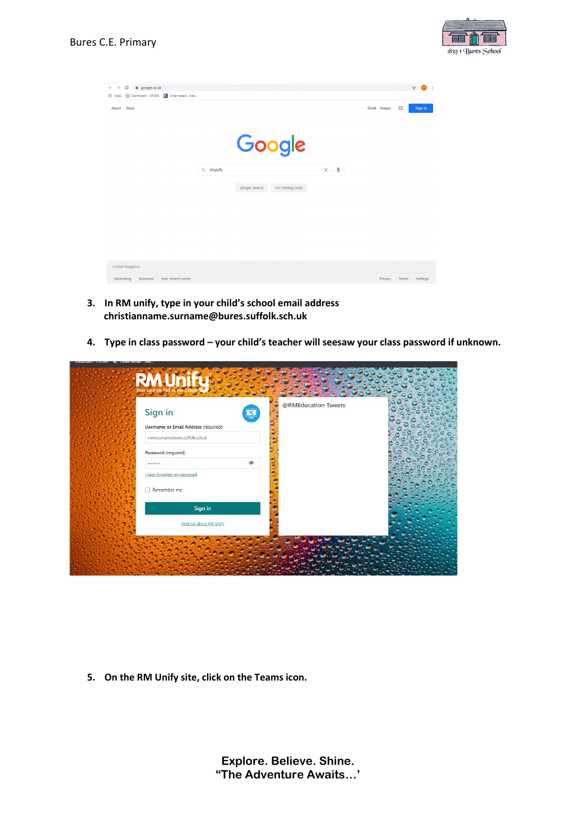

| $\mathcal{C}$<br>@ google.co.uk<br>$\rightarrow$<br>$\leftarrow$<br>O Dashboard - CPOMS E Order details - Ede<br><b>III</b> Apps |          |               |                   |                       |              |             | ☆ B      | $\cdot$ : |
|----------------------------------------------------------------------------------------------------------------------------------|----------|---------------|-------------------|-----------------------|--------------|-------------|----------|-----------|
| <b>Store</b><br>About                                                                                                            |          |               |                   |                       | Gmail Images | $\dddot{m}$ | Sign in  |           |
|                                                                                                                                  |          |               | Google            |                       |              |             |          |           |
|                                                                                                                                  | Q munify |               |                   | $\times$ $\downarrow$ |              |             |          |           |
|                                                                                                                                  |          | Google Search | I'm Feeling Lucky |                       |              |             |          |           |
|                                                                                                                                  |          |               |                   |                       |              |             |          |           |
|                                                                                                                                  |          |               |                   |                       |              |             |          |           |
|                                                                                                                                  |          |               |                   |                       |              |             |          |           |
| <b>United Kingdom</b>                                                                                                            |          |               |                   |                       |              |             |          |           |
| How Search works<br>Advertising<br><b>Business</b>                                                                               |          |               |                   |                       | Privacy      | Terms       | Settings |           |

- **3. In RM unify, type in your child's school email address christianname.surname@bures.suffolk.sch.uk**
- **4. Type in class password – your child's teacher will seesaw your class password if unknown.**

| Sign in                              | 图       | @RMEducation Tweets |  |
|--------------------------------------|---------|---------------------|--|
| Username or Email Address (required) |         |                     |  |
| namesurname.bures.suffolk.sch.uk     |         |                     |  |
| Password (required)                  |         |                     |  |
|                                      | $\circ$ |                     |  |
| I have forgotten my password         |         |                     |  |
| Remember me                          |         |                     |  |
|                                      |         |                     |  |
| Sign in                              |         |                     |  |
| Find out about RM Unify              |         |                     |  |

**5. On the RM Unify site, click on the Teams icon.**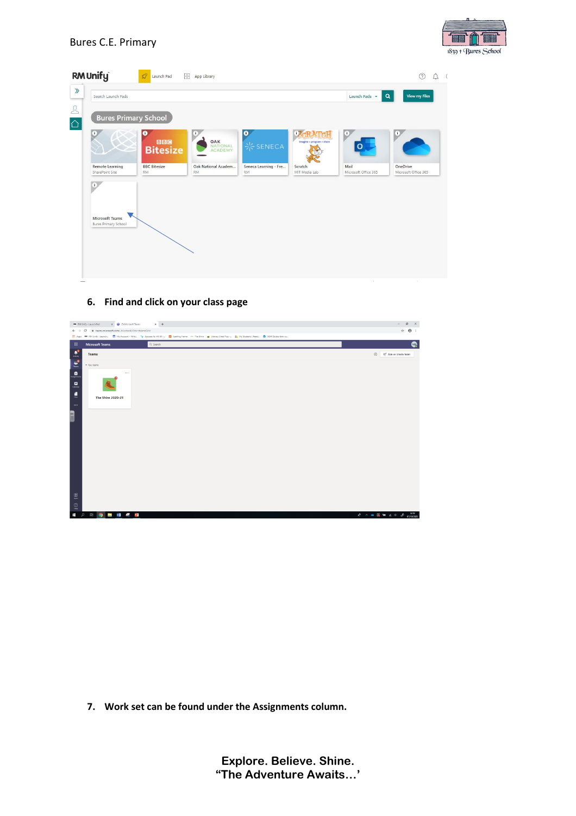

| <b>RM</b> Unify                                       | Launch Pad                       | RR.<br>App Library                |                                    |                           |                              |                                  |
|-------------------------------------------------------|----------------------------------|-----------------------------------|------------------------------------|---------------------------|------------------------------|----------------------------------|
| $\gg$<br>Search Launch Pads                           |                                  |                                   |                                    |                           | Launch Pads -                | <b>View my Files</b><br>Q        |
| $\frac{1}{\Omega}$                                    | <b>Bures Primary School</b>      |                                   |                                    |                           |                              |                                  |
| п.                                                    | o                                | ×                                 | $\bullet$                          | Ð                         | ÷.                           | Ŧ                                |
|                                                       | <b>Bitesize</b>                  | OAK<br><b>NATIONAL</b><br>ACADEMY | <b>米 SENECA</b>                    | Imagine + program + share |                              |                                  |
| <b>Remote Learning</b><br>SharePoint Site             | <b>BBC</b> Bitesize<br><b>RM</b> | Oak National Academ<br><b>RM</b>  | Seneca Learning - Fre<br><b>RM</b> | Scratch<br>MIT Media Lab  | Mail<br>Microsoft Office 365 | OneDrive<br>Microsoft Office 365 |
| $\left( \mathbf{r}\right)$                            |                                  |                                   |                                    |                           |                              |                                  |
|                                                       |                                  |                                   |                                    |                           |                              |                                  |
| <b>Microsoft Teams</b><br><b>Bures Primary School</b> |                                  |                                   |                                    |                           |                              |                                  |
|                                                       |                                  |                                   |                                    |                           |                              |                                  |
|                                                       |                                  |                                   |                                    |                           |                              |                                  |
|                                                       |                                  |                                   |                                    |                           |                              |                                  |
|                                                       |                                  |                                   |                                    |                           | $\sim$                       | a.                               |

### 6. Find and click on your class page



7. Work set can be found under the Assignments column.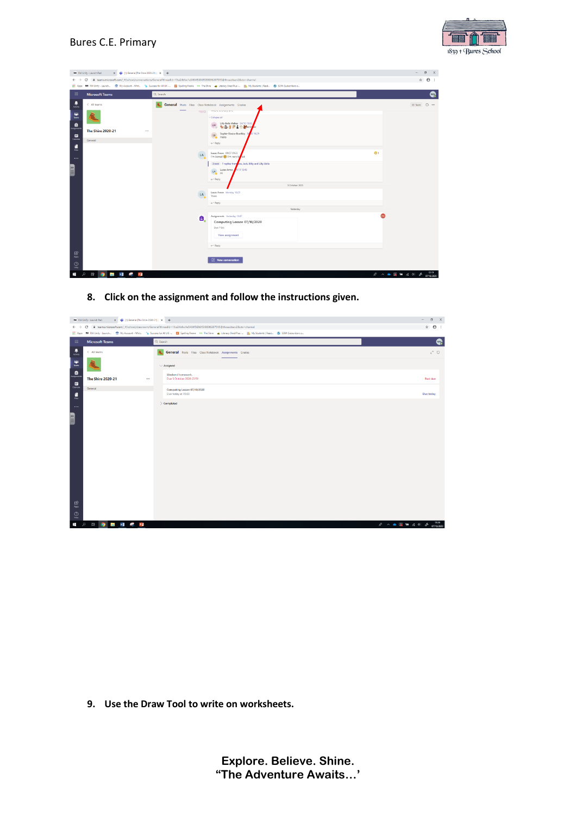

|                                                                                                                                                                                                   | X 4 (1) General (The Shire 2020-21)   X +<br><b>RM</b> RM Unify - Launch Pad |                  |                                                                                                                                                                      |                          | $\sigma$<br>$\times$<br>$\sim$ |
|---------------------------------------------------------------------------------------------------------------------------------------------------------------------------------------------------|------------------------------------------------------------------------------|------------------|----------------------------------------------------------------------------------------------------------------------------------------------------------------------|--------------------------|--------------------------------|
| $\hat{\mathbf{x}}$ $\Theta$ :<br>· # teams.microsoft.com/ #/school/conversations/General?threadId=19:a24bfec1e5404f5686f53900f6207515@thread.tacv28ctx=channel<br>С<br>$\leftarrow$ $\rightarrow$ |                                                                              |                  |                                                                                                                                                                      |                          |                                |
| <b>H</b> Apps                                                                                                                                                                                     |                                                                              |                  | MM RM Unify - Launch 图 My Account - Whit "In Success for All UK - 图 Spelling Frame M The Shire (a) Literacy Shed Plus - 11, My Students   Read (N SOW (Subscribers o |                          |                                |
| 田                                                                                                                                                                                                 | <b>Microsoft Teams</b>                                                       | Q Search         |                                                                                                                                                                      |                          | Q.                             |
| 息                                                                                                                                                                                                 | < All teams                                                                  |                  | General Posts Files Class Notebook Assignments Grades<br><b>WEIGHT OF STREET STEEL</b>                                                                               |                          | @ Team (i) ***                 |
| $\frac{100}{2000}$                                                                                                                                                                                |                                                                              |                  | $\bullet$<br>- Collapse all<br>Lilly-Bella Walker 04/10 15:53                                                                                                        |                          |                                |
| a<br>nigwn<br>؞                                                                                                                                                                                   | <b>The Shire 2020-21</b><br>                                                 |                  | LW<br>新西哥资金合新min<br>Sophie-Elouise Boothby<br>1629<br>SB <sub>O</sub><br>Hello                                                                                       |                          |                                |
|                                                                                                                                                                                                   | General                                                                      |                  | $\leftrightarrow$ Reply                                                                                                                                              |                          |                                |
| Ē<br>$\cdots$                                                                                                                                                                                     |                                                                              | <b>LA</b>        | Lucas Arrow 09/07 09:33<br>I'm bored (C) I'm very by ed<br>3 new 7 replies from ou, Jack, Billy and Lilly-Bella                                                      | $\bullet$                |                                |
| <b>Allin</b>                                                                                                                                                                                      |                                                                              |                  | 4/10 18:48<br>LA<br>Lucas Arrow<br>Hi<br>$\leftrightarrow$ Reply                                                                                                     |                          |                                |
|                                                                                                                                                                                                   |                                                                              |                  | 5 October 2020                                                                                                                                                       |                          |                                |
|                                                                                                                                                                                                   |                                                                              | $_{\rm LA}$<br>ం | Lucas Arrow Monday 1829<br>Yooo                                                                                                                                      |                          |                                |
|                                                                                                                                                                                                   |                                                                              |                  | $e^{\jmath}$ Reply                                                                                                                                                   |                          |                                |
|                                                                                                                                                                                                   |                                                                              |                  | <b>Nesterday</b>                                                                                                                                                     |                          |                                |
|                                                                                                                                                                                                   |                                                                              | Α,               | Assignments Vesterday 14:47<br>Computing Lesson 07/10/2020<br>Due 7 Oct<br>View assignment                                                                           |                          |                                |
|                                                                                                                                                                                                   |                                                                              |                  | $\leftarrow$ Reply                                                                                                                                                   |                          |                                |
| 思<br>$\odot$<br>Help                                                                                                                                                                              |                                                                              |                  | <b>8</b> New conversation                                                                                                                                            |                          |                                |
| Ŧ<br>$\Omega$                                                                                                                                                                                     | M<br>$\bullet$<br>P <sub>3</sub><br>Uł<br><b>September</b>                   |                  |                                                                                                                                                                      | <b>永 八 画 图 轴 点 di  办</b> | 1219<br>07/10/2020             |

8. Click on the assignment and follow the instructions given.

|                                                                               | X 4 (1) General (The Shire 2020-21)   X +<br><b>RM</b> RM Unify - Launch Pad                                                                     |          |                                                                                                                                                                         | $\sigma$<br>$\times$<br>$\sim$                                                                                                                                                                                                                                                                                                                                                                                                                                                                                                                                                                                                                                                                                    |  |
|-------------------------------------------------------------------------------|--------------------------------------------------------------------------------------------------------------------------------------------------|----------|-------------------------------------------------------------------------------------------------------------------------------------------------------------------------|-------------------------------------------------------------------------------------------------------------------------------------------------------------------------------------------------------------------------------------------------------------------------------------------------------------------------------------------------------------------------------------------------------------------------------------------------------------------------------------------------------------------------------------------------------------------------------------------------------------------------------------------------------------------------------------------------------------------|--|
| $\leftarrow$ $\rightarrow$                                                    | $\hat{r}$ $\theta$ :<br>C Bitams.microsoft.com/_#/school/classroom/General?threadId=19:a24bfec1e5404f5686f53900f6207515@thread.tacv2&ctx=channel |          |                                                                                                                                                                         |                                                                                                                                                                                                                                                                                                                                                                                                                                                                                                                                                                                                                                                                                                                   |  |
|                                                                               |                                                                                                                                                  |          | H Apps MM RM Unify - Launch ● My Account - Whit "Iy Success for All UK - 2 Spelling Frame → The Shire ● Literacy Shed Plus -   My Students   Read (V SOW (Subscribers o |                                                                                                                                                                                                                                                                                                                                                                                                                                                                                                                                                                                                                                                                                                                   |  |
| $\mathbb H$                                                                   | <b>Microsoft Teams</b>                                                                                                                           | Q Search |                                                                                                                                                                         | Q                                                                                                                                                                                                                                                                                                                                                                                                                                                                                                                                                                                                                                                                                                                 |  |
| 息                                                                             | < All teams                                                                                                                                      |          | General Posts Files Class Notebook Assignments Grades                                                                                                                   | $k^2$ O                                                                                                                                                                                                                                                                                                                                                                                                                                                                                                                                                                                                                                                                                                           |  |
| ÷,                                                                            |                                                                                                                                                  |          | $\vee$ Assigned                                                                                                                                                         |                                                                                                                                                                                                                                                                                                                                                                                                                                                                                                                                                                                                                                                                                                                   |  |
| $\blacksquare$<br>$\begin{array}{c} \blacksquare \\ \blacksquare \end{array}$ | <b>The Shire 2020-21</b>                                                                                                                         |          | Weekend homework.<br>Due 5 October 2020 23:59                                                                                                                           | Past due                                                                                                                                                                                                                                                                                                                                                                                                                                                                                                                                                                                                                                                                                                          |  |
|                                                                               | General                                                                                                                                          |          | Computing Lesson 07/10/2020                                                                                                                                             |                                                                                                                                                                                                                                                                                                                                                                                                                                                                                                                                                                                                                                                                                                                   |  |
| $\frac{1}{2}$                                                                 |                                                                                                                                                  |          | Due today at 15:00                                                                                                                                                      | Due today                                                                                                                                                                                                                                                                                                                                                                                                                                                                                                                                                                                                                                                                                                         |  |
|                                                                               |                                                                                                                                                  |          | > Completed                                                                                                                                                             |                                                                                                                                                                                                                                                                                                                                                                                                                                                                                                                                                                                                                                                                                                                   |  |
| $\cdots$                                                                      |                                                                                                                                                  |          |                                                                                                                                                                         |                                                                                                                                                                                                                                                                                                                                                                                                                                                                                                                                                                                                                                                                                                                   |  |
| $rac{1}{2}$                                                                   |                                                                                                                                                  |          |                                                                                                                                                                         |                                                                                                                                                                                                                                                                                                                                                                                                                                                                                                                                                                                                                                                                                                                   |  |
|                                                                               |                                                                                                                                                  |          |                                                                                                                                                                         |                                                                                                                                                                                                                                                                                                                                                                                                                                                                                                                                                                                                                                                                                                                   |  |
|                                                                               |                                                                                                                                                  |          |                                                                                                                                                                         |                                                                                                                                                                                                                                                                                                                                                                                                                                                                                                                                                                                                                                                                                                                   |  |
|                                                                               |                                                                                                                                                  |          |                                                                                                                                                                         |                                                                                                                                                                                                                                                                                                                                                                                                                                                                                                                                                                                                                                                                                                                   |  |
|                                                                               |                                                                                                                                                  |          |                                                                                                                                                                         |                                                                                                                                                                                                                                                                                                                                                                                                                                                                                                                                                                                                                                                                                                                   |  |
|                                                                               |                                                                                                                                                  |          |                                                                                                                                                                         |                                                                                                                                                                                                                                                                                                                                                                                                                                                                                                                                                                                                                                                                                                                   |  |
|                                                                               |                                                                                                                                                  |          |                                                                                                                                                                         |                                                                                                                                                                                                                                                                                                                                                                                                                                                                                                                                                                                                                                                                                                                   |  |
|                                                                               |                                                                                                                                                  |          |                                                                                                                                                                         |                                                                                                                                                                                                                                                                                                                                                                                                                                                                                                                                                                                                                                                                                                                   |  |
|                                                                               |                                                                                                                                                  |          |                                                                                                                                                                         |                                                                                                                                                                                                                                                                                                                                                                                                                                                                                                                                                                                                                                                                                                                   |  |
|                                                                               |                                                                                                                                                  |          |                                                                                                                                                                         |                                                                                                                                                                                                                                                                                                                                                                                                                                                                                                                                                                                                                                                                                                                   |  |
|                                                                               |                                                                                                                                                  |          |                                                                                                                                                                         |                                                                                                                                                                                                                                                                                                                                                                                                                                                                                                                                                                                                                                                                                                                   |  |
|                                                                               |                                                                                                                                                  |          |                                                                                                                                                                         |                                                                                                                                                                                                                                                                                                                                                                                                                                                                                                                                                                                                                                                                                                                   |  |
|                                                                               |                                                                                                                                                  |          |                                                                                                                                                                         |                                                                                                                                                                                                                                                                                                                                                                                                                                                                                                                                                                                                                                                                                                                   |  |
| $\underset{\text{Apps}}{\bigoplus}$                                           |                                                                                                                                                  |          |                                                                                                                                                                         |                                                                                                                                                                                                                                                                                                                                                                                                                                                                                                                                                                                                                                                                                                                   |  |
| $\bigcirc_{\mathbf{K} \mathbf{p}}$                                            |                                                                                                                                                  |          |                                                                                                                                                                         |                                                                                                                                                                                                                                                                                                                                                                                                                                                                                                                                                                                                                                                                                                                   |  |
| Ŧ<br>$\mathfrak{Q}$                                                           | <b>BUT IT AS 13</b><br>ų                                                                                                                         |          |                                                                                                                                                                         | $R^2 \quad \wedge \quad \blacksquare \quad \blacksquare \quad \blacksquare \quad \blacksquare \quad \blacksquare \quad \blacksquare \quad \blacksquare \quad \blacksquare \quad \blacksquare \quad \blacksquare \quad \blacksquare \quad \blacksquare \quad \blacksquare \quad \blacksquare \quad \blacksquare \quad \blacksquare \quad \blacksquare \quad \blacksquare \quad \blacksquare \quad \blacksquare \quad \blacksquare \quad \blacksquare \quad \blacksquare \quad \blacksquare \quad \blacksquare \quad \blacksquare \quad \blacksquare \quad \blacksquare \quad \blacksquare \quad \blacksquare \quad \blacksquare \quad \blacksquare \quad \blacksquare \quad \blacksquare \quad \blacksquare \quad$ |  |

9. Use the Draw Tool to write on worksheets.